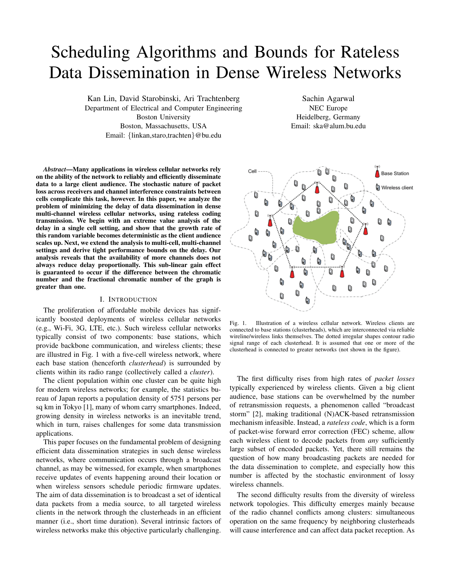# Scheduling Algorithms and Bounds for Rateless Data Dissemination in Dense Wireless Networks

Kan Lin, David Starobinski, Ari Trachtenberg Department of Electrical and Computer Engineering Boston University Boston, Massachusetts, USA Email: *{*linkan,staro,trachten*}*@bu.edu

Sachin Agarwal NEC Europe Heidelberg, Germany Email: ska@alum.bu.edu

*Abstract*—Many applications in wireless cellular networks rely on the ability of the network to reliably and efficiently disseminate data to a large client audience. The stochastic nature of packet loss across receivers and channel interference constraints between cells complicate this task, however. In this paper, we analyze the problem of minimizing the delay of data dissemination in dense multi-channel wireless cellular networks, using rateless coding transmission. We begin with an extreme value analysis of the delay in a single cell setting, and show that the growth rate of this random variable becomes deterministic as the client audience scales up. Next, we extend the analysis to multi-cell, multi-channel settings and derive tight performance bounds on the delay. Our analysis reveals that the availability of more channels does not always reduce delay proportionally. This sub-linear gain effect is guaranteed to occur if the difference between the chromatic number and the fractional chromatic number of the graph is greater than one.

# I. INTRODUCTION

The proliferation of affordable mobile devices has significantly boosted deployments of wireless cellular networks (e.g., Wi-Fi, 3G, LTE, etc.). Such wireless cellular networks typically consist of two components: base stations, which provide backbone communication, and wireless clients; these are illustred in Fig. 1 with a five-cell wireless network, where each base station (henceforth *clusterhead*) is surrounded by clients within its radio range (collectively called a *cluster*).

The client population within one cluster can be quite high for modern wireless networks; for example, the statistics bureau of Japan reports a population density of 5751 persons per sq km in Tokyo [1], many of whom carry smartphones. Indeed, growing density in wireless networks is an inevitable trend, which in turn, raises challenges for some data transmission applications.

This paper focuses on the fundamental problem of designing efficient data dissemination strategies in such dense wireless networks, where communication occurs through a broadcast channel, as may be witnessed, for example, when smartphones receive updates of events happening around their location or when wireless sensors schedule periodic firmware updates. The aim of data dissemination is to broadcast a set of identical data packets from a media source, to all targeted wireless clients in the network through the clusterheads in an efficient manner (i.e., short time duration). Several intrinsic factors of wireless networks make this objective particularly challenging.



Fig. 1. Illustration of a wireless cellular network. Wireless clients are connected to base stations (clusterheads), which are interconnected via reliable wireline/wireless links themselves. The dotted irregular shapes contour radio signal range of each clusterhead. It is assumed that one or more of the clusterhead is connected to greater networks (not shown in the figure).

The first difficulty rises from high rates of *packet losses* typically experienced by wireless clients. Given a big client audience, base stations can be overwhelmed by the number of retransmission requests, a phenomenon called "broadcast storm" [2], making traditional (N)ACK-based retransmission mechanism infeasible. Instead, a *rateless code*, which is a form of packet-wise forward error correction (FEC) scheme, allow each wireless client to decode packets from *any* sufficiently large subset of encoded packets. Yet, there still remains the question of how many broadcasting packets are needed for the data dissemination to complete, and especially how this number is affected by the stochastic environment of lossy wireless channels.

The second difficulty results from the diversity of wireless network topologies. This difficulty emerges mainly because of the radio channel conflicts among clusters: simultaneous operation on the same frequency by neighboring clusterheads will cause interference and can affect data packet reception. As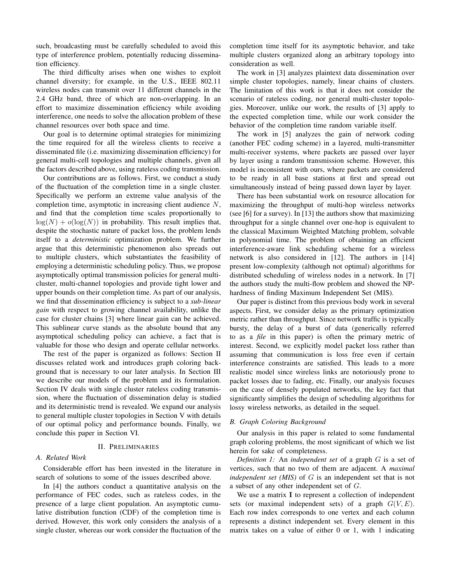such, broadcasting must be carefully scheduled to avoid this type of interference problem, potentially reducing dissemination efficiency.

The third difficulty arises when one wishes to exploit channel diversity; for example, in the U.S., IEEE 802.11 wireless nodes can transmit over 11 different channels in the 2.4 GHz band, three of which are non-overlapping. In an effort to maximize dissemination efficiency while avoiding interference, one needs to solve the allocation problem of these channel resources over both space and time.

Our goal is to determine optimal strategies for minimizing the time required for all the wireless clients to receive a disseminated file (i.e. maximizing dissemination efficiency) for general multi-cell topologies and multiple channels, given all the factors described above, using rateless coding transmission.

Our contributions are as follows. First, we conduct a study of the fluctuation of the completion time in a single cluster. Specifically we perform an extreme value analysis of the completion time, asymptotic in increasing client audience  $N$ , and find that the completion time scales proportionally to  $log(N) + o(log(N))$  in probability. This result implies that, despite the stochastic nature of packet loss, the problem lends itself to a *deterministic* optimization problem. We further argue that this deterministic phenomenon also spreads out to multiple clusters, which substantiates the feasibility of employing a deterministic scheduling policy. Thus, we propose asymptotically optimal transmission policies for general multicluster, multi-channel topologies and provide tight lower and upper bounds on their completion time. As part of our analysis, we find that dissemination efficiency is subject to a *sub-linear gain* with respect to growing channel availability, unlike the case for cluster chains [3] where linear gain can be achieved. This sublinear curve stands as the absolute bound that any asymptotical scheduling policy can achieve, a fact that is valuable for those who design and operate cellular networks.

The rest of the paper is organized as follows: Section II discusses related work and introduces graph coloring background that is necessary to our later analysis. In Section III we describe our models of the problem and its formulation. Section IV deals with single cluster rateless coding transmission, where the fluctuation of dissemination delay is studied and its deterministic trend is revealed. We expand our analysis to general multiple cluster topologies in Section V with details of our optimal policy and performance bounds. Finally, we conclude this paper in Section VI.

#### II. PRELIMINARIES

# *A. Related Work*

Considerable effort has been invested in the literature in search of solutions to some of the issues described above.

In [4] the authors conduct a quantitative analysis on the performance of FEC codes, such as rateless codes, in the presence of a large client population. An asymptotic cumulative distribution function (CDF) of the completion time is derived. However, this work only considers the analysis of a single cluster, whereas our work consider the fluctuation of the completion time itself for its asymptotic behavior, and take multiple clusters organized along an arbitrary topology into consideration as well.

The work in [3] analyzes plaintext data dissemination over simple cluster topologies, namely, linear chains of clusters. The limitation of this work is that it does not consider the scenario of rateless coding, nor general multi-cluster topologies. Moreover, unlike our work, the results of [3] apply to the expected completion time, while our work consider the behavior of the completion time random variable itself.

The work in [5] analyzes the gain of network coding (another FEC coding scheme) in a layered, multi-transmitter multi-receiver systems, where packets are passed over layer by layer using a random transmission scheme. However, this model is inconsistent with ours, where packets are considered to be ready in all base stations at first and spread out simultaneously instead of being passed down layer by layer.

There has been substantial work on resource allocation for maximizing the throughput of multi-hop wireless networks (see [6] for a survey). In [13] the authors show that maximizing throughput for a single channel over one-hop is equivalent to the classical Maximum Weighted Matching problem, solvable in polynomial time. The problem of obtaining an efficient interference-aware link scheduling scheme for a wireless network is also considered in [12]. The authors in [14] present low-complexity (although not optimal) algorithms for distributed scheduling of wireless nodes in a network. In [7] the authors study the multi-flow problem and showed the NPhardness of finding Maximum Independent Set (MIS).

Our paper is distinct from this previous body work in several aspects. First, we consider delay as the primary optimization metric rather than throughput. Since network traffic is typically bursty, the delay of a burst of data (generically referred to as a *file* in this paper) is often the primary metric of interest. Second, we explicitly model packet loss rather than assuming that communication is loss free even if certain interference constraints are satisfied. This leads to a more realistic model since wireless links are notoriously prone to packet losses due to fading, etc. Finally, our analysis focuses on the case of densely populated networks, the key fact that significantly simplifies the design of scheduling algorithms for lossy wireless networks, as detailed in the sequel.

# *B. Graph Coloring Background*

Our analysis in this paper is related to some fundamental graph coloring problems, the most significant of which we list herein for sake of completeness.

*Definition 1:* An *independent set* of a graph *G* is a set of vertices, such that no two of them are adjacent. A *maximal independent set (MIS)* of  $G$  is an independent set that is not a subset of any other independent set of  $G$ .

We use a matrix **I** to represent a collection of independent sets (or maximal independent sets) of a graph  $G(V, E)$ . Each row index corresponds to one vertex and each column represents a distinct independent set. Every element in this matrix takes on a value of either 0 or 1, with 1 indicating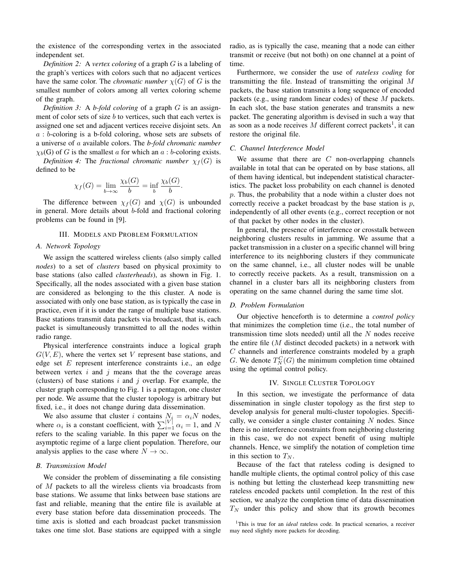the existence of the corresponding vertex in the associated independent set.

*Definition 2:* A *vertex coloring* of a graph  $G$  is a labeling of the graph's vertices with colors such that no adjacent vertices have the same color. The *chromatic number*  $\chi(G)$  of G is the smallest number of colors among all vertex coloring scheme of the graph.

*Definition 3:* A *b-fold coloring* of a graph  $G$  is an assignment of color sets of size  $b$  to vertices, such that each vertex is assigned one set and adjacent vertices receive disjoint sets. An  $a : b$ -coloring is a b-fold coloring, whose sets are subsets of a universe of available colors. The *b-fold chromatic number*  $\chi_b(G)$  of G is the smallest a for which an  $a : b$ -coloring exists.

*Definition 4:* The *fractional chromatic number*  $\chi_f(G)$  is defined to be

$$
\chi_f(G) = \lim_{b \to \infty} \frac{\chi_b(G)}{b} = \inf_b \frac{\chi_b(G)}{b}.
$$

The difference between  $\chi_f(G)$  and  $\chi(G)$  is unbounded in general. More details about  $b$ -fold and fractional coloring problems can be found in [9].

## III. MODELS AND PROBLEM FORMULATION

#### *A. Network Topology*

We assign the scattered wireless clients (also simply called *nodes*) to a set of *clusters* based on physical proximity to base stations (also called *clusterheads*), as shown in Fig. 1. Specifically, all the nodes associated with a given base station are considered as belonging to the this cluster. A node is associated with only one base station, as is typically the case in practice, even if it is under the range of multiple base stations. Base stations transmit data packets via broadcast, that is, each packet is simultaneously transmitted to all the nodes within radio range.

Physical interference constraints induce a logical graph  $G(V, E)$ , where the vertex set V represent base stations, and edge set  $E$  represent interference constraints i.e., an edge between vertex  $i$  and  $j$  means that the the coverage areas (clusters) of base stations  $i$  and  $j$  overlap. For example, the cluster graph corresponding to Fig. 1 is a pentagon, one cluster per node. We assume that the cluster topology is arbitrary but fixed, i.e., it does not change during data dissemination.

We also assume that cluster i contains  $N_i = \alpha_i N$  nodes, where  $\alpha_i$  is a constant coefficient, with  $\sum_{i=1}^{|V|} \alpha_i = 1$ , and N refers to the scaling variable. In this paper we focus on the asymptotic regime of a large client population. Therefore, our analysis applies to the case where  $N \to \infty$ .

#### *B. Transmission Model*

We consider the problem of disseminating a file consisting of  $M$  packets to all the wireless clients via broadcasts from base stations. We assume that links between base stations are fast and reliable, meaning that the entire file is available at every base station before data dissemination proceeds. The time axis is slotted and each broadcast packet transmission takes one time slot. Base stations are equipped with a single radio, as is typically the case, meaning that a node can either transmit or receive (but not both) on one channel at a point of time.

Furthermore, we consider the use of *rateless coding* for transmitting the file. Instead of transmitting the original  $M$ packets, the base station transmits a long sequence of encoded packets (e.g., using random linear codes) of these  $M$  packets. In each slot, the base station generates and transmits a new packet. The generating algorithm is devised in such a way that as soon as a node receives  $M$  different correct packets<sup>1</sup>, it can restore the original file.

## *C. Channel Interference Model*

We assume that there are  $C$  non-overlapping channels available in total that can be operated on by base stations, all of them having identical, but independent statistical characteristics. The packet loss probability on each channel is denoted . Thus, the probability that a node within a cluster does not correctly receive a packet broadcast by the base station is  $p$ , independently of all other events (e.g., correct reception or not of that packet by other nodes in the cluster).

In general, the presence of interference or crosstalk between neighboring clusters results in jamming. We assume that a packet transmission in a cluster on a specific channel will bring interference to its neighboring clusters if they communicate on the same channel, i.e., all cluster nodes will be unable to correctly receive packets. As a result, transmission on a channel in a cluster bars all its neighboring clusters from operating on the same channel during the same time slot.

## *D. Problem Formulation*

Our objective henceforth is to determine a *control policy* that minimizes the completion time (i.e., the total number of transmission time slots needed) until all the  $N$  nodes receive the entire file  $(M$  distinct decoded packets) in a network with  $C$  channels and interference constraints modeled by a graph G. We denote  $T_N^C(G)$  the minimum completion time obtained using the optimal control policy.

# IV. SINGLE CLUSTER TOPOLOGY

In this section, we investigate the performance of data dissemination in single cluster topology as the first step to develop analysis for general multi-cluster topologies. Specifically, we consider a single cluster containing  $N$  nodes. Since there is no interference constraints from neighboring clustering in this case, we do not expect benefit of using multiple channels. Hence, we simplify the notation of completion time in this section to  $T_N$ .

Because of the fact that rateless coding is designed to handle multiple clients, the optimal control policy of this case is nothing but letting the clusterhead keep transmitting new rateless encoded packets until completion. In the rest of this section, we analyze the completion time of data dissemination  $T_N$  under this policy and show that its growth becomes

<sup>1</sup>This is true for an *ideal* rateless code. In practical scenarios, a receiver may need slightly more packets for decoding.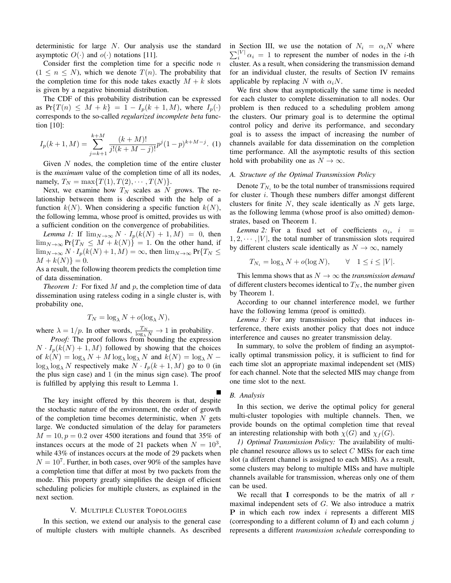deterministic for large  $N$ . Our analysis use the standard asymptotic  $O(·)$  and  $o(·)$  notations [11].

Consider first the completion time for a specific node  $n$  $(1 \leq n \leq N)$ , which we denote  $T(n)$ . The probability that the completion time for this node takes exactly  $M + k$  slots is given by a negative binomial distribution.

The CDF of this probability distribution can be expressed as  $Pr{T(n) \leq M + k} = 1 - I_p(k + 1, M)$ , where  $I_p(\cdot)$ corresponds to the so-called *regularized incomplete beta* function [10]:

$$
I_p(k+1,M) = \sum_{j=k+1}^{k+M} \frac{(k+M)!}{j!(k+M-j)!} p^j (1-p)^{k+M-j}.
$$
 (1)

Given  $N$  nodes, the completion time of the entire cluster is the *maximum* value of the completion time of all its nodes, namely,  $T_N = \max\{T(1), T(2), \cdots, T(N)\}.$ 

Next, we examine how  $T_N$  scales as N grows. The relationship between them is described with the help of a function  $k(N)$ . When considering a specific function  $k(N)$ , the following lemma, whose proof is omitted, provides us with a sufficient condition on the convergence of probabilities.

*Lemma 1:* If  $\lim_{N\to\infty} N \cdot I_p(k(N) + 1, M) = 0$ , then  $\lim_{N\to\infty}$  Pr{ $T_N \leq M + k(N)$ } = 1. On the other hand, if  $\lim_{N\to\infty} N \cdot I_p(k(N) + 1, M) = \infty$ , then  $\lim_{N\to\infty} \Pr\{T_N \leq$  $M + k(N)$ } = 0.

As a result, the following theorem predicts the completion time of data dissemination.

*Theorem 1:* For fixed  $M$  and  $p$ , the completion time of data dissemination using rateless coding in a single cluster is, with probability one,

$$
T_N = \log_{\lambda} N + o(\log_{\lambda} N),
$$

where  $\lambda = 1/p$ . In other words,  $\frac{T_N}{\log_{\lambda} N} \to 1$  in probability.<br>*Proof:* The proof follows from bounding the expression

 $N \cdot I_p(k(N) + 1, M)$  followed by showing that the choices of  $k(N) = \log_{\lambda} N + M \log_{\lambda} \log_{\lambda} N$  and  $k(N) = \log_{\lambda} N \log_{\lambda} \log_{\lambda} N$  respectively make  $N \cdot I_p(k+1, M)$  go to 0 (in the plus sign case) and 1 (in the minus sign case). The proof is fulfilled by applying this result to Lemma 1.

The key insight offered by this theorem is that, despite the stochastic nature of the environment, the order of growth of the completion time becomes deterministic, when  $N$  gets large. We conducted simulation of the delay for parameters  $M = 10, p = 0.2$  over 4500 iterations and found that 35% of instances occurs at the mode of 21 packets when  $N = 10^3$ , while 43% of instances occurs at the mode of 29 packets when  $N = 10<sup>7</sup>$ . Further, in both cases, over 90% of the samples have a completion time that differ at most by two packets from the mode. This property greatly simplifies the design of efficient scheduling policies for multiple clusters, as explained in the next section.

## V. MULTIPLE CLUSTER TOPOLOGIES

In this section, we extend our analysis to the general case of multiple clusters with multiple channels. As described

in Section III, we use the notation of  $N_i = \alpha_i N$  where  $\sum_{i}^{|V|} \alpha_i = 1$  to represent the number of nodes in the *i*-th cluster. As a result, when considering the transmission demand for an individual cluster, the results of Section IV remains applicable by replacing N with  $\alpha_i$ N.

We first show that asymptotically the same time is needed for each cluster to complete dissemination to all nodes. Our problem is then reduced to a scheduling problem among the clusters. Our primary goal is to determine the optimal control policy and derive its performance, and secondary goal is to assess the impact of increasing the number of channels available for data dissemination on the completion time performance. All the asymptotic results of this section hold with probability one as  $N \to \infty$ .

## *A. Structure of the Optimal Transmission Policy*

Denote  $T_{N_i}$  to be the total number of transmissions required for cluster  $i$ . Though these numbers differ amongst different clusters for finite  $N$ , they scale identically as  $N$  gets large, as the following lemma (whose proof is also omitted) demonstrates, based on Theorem 1.

*Lemma 2:* For a fixed set of coefficients  $\alpha_i$ ,  $i =$  $1, 2, \cdots, |V|$ , the total number of transmission slots required by different clusters scale identically as  $N \to \infty$ , namely

$$
T_{N_i} = \log_{\lambda} N + o(\log N), \qquad \forall \quad 1 \le i \le |V|.
$$

This lemma shows that as  $N \to \infty$  the *transmission demand* of different clusters becomes identical to  $T_N$ , the number given by Theorem 1.

According to our channel interference model, we further have the following lemma (proof is omitted).

*Lemma 3:* For any transmission policy that induces interference, there exists another policy that does not induce interference and causes no greater transmission delay.

In summary, to solve the problem of finding an asymptotically optimal transmission policy, it is sufficient to find for each time slot an appropriate maximal independent set (MIS) for each channel. Note that the selected MIS may change from one time slot to the next.

## *B. Analysis*

In this section, we derive the optimal policy for general multi-cluster topologies with multiple channels. Then, we provide bounds on the optimal completion time that reveal an interesting relationship with both  $\chi(G)$  and  $\chi_f(G)$ .

*1) Optimal Transmission Policy:* The availability of multiple channel resource allows us to select  $C$  MISs for each time slot (a different channel is assigned to each MIS). As a result, some clusters may belong to multiple MISs and have multiple channels available for transmission, whereas only one of them can be used.

We recall that **I** corresponds to be the matrix of all r maximal independent sets of  $G$ . We also introduce a matrix  $P$  in which each row index  $i$  represents a different MIS (corresponding to a different column of  $I$ ) and each column  $j$ represents a different *transmission schedule* corresponding to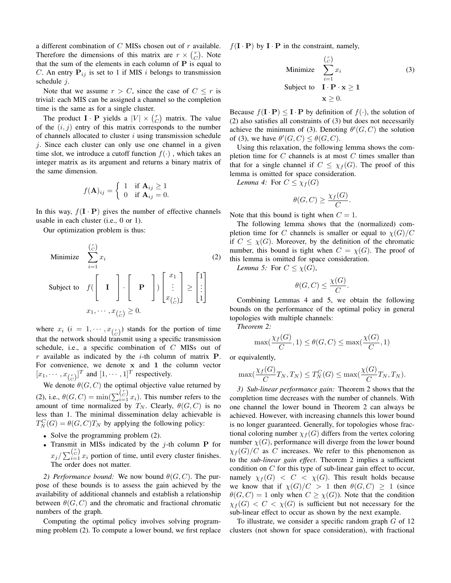a different combination of  $C$  MISs chosen out of  $r$  available. Therefore the dimensions of this matrix are  $r \times {r \choose C}$ . Note that the sum of the elements in each column of **P** is equal to C. An entry  $P_{ij}$  is set to 1 if MIS *i* belongs to transmission schedule  $j$ .

Note that we assume  $r > C$ , since the case of  $C \leq r$  is trivial: each MIS can be assigned a channel so the completion time is the same as for a single cluster.

The product **I** · **P** yields a  $|V| \times {r \choose C}$  matrix. The value of the  $(i, j)$  entry of this matrix corresponds to the number of channels allocated to cluster  $i$  using transmission schedule  $i$ . Since each cluster can only use one channel in a given time slot, we introduce a cutoff function  $f(\cdot)$ , which takes an integer matrix as its argument and returns a binary matrix of the same dimension.

$$
f(\mathbf{A})_{ij} = \begin{cases} 1 & \text{if } \mathbf{A}_{ij} \ge 1 \\ 0 & \text{if } \mathbf{A}_{ij} = 0. \end{cases}
$$

In this way,  $f(\mathbf{I} \cdot \mathbf{P})$  gives the number of effective channels usable in each cluster (i.e., 0 or 1).

Our optimization problem is thus:

Minimize 
$$
\sum_{i=1}^{n} x_i
$$
 (2)  
\nSubject to  $f(\begin{bmatrix} \mathbf{I} \end{bmatrix} \cdot \begin{bmatrix} \mathbf{P} \end{bmatrix}) \begin{bmatrix} x_1 \ \vdots \ x_{n} \end{bmatrix} \ge \begin{bmatrix} 1 \ \vdots \ 1 \end{bmatrix}$   
\n $x_1, \dots, x_{n} \neq 0$ .

where  $x_i$  ( $i = 1, \dots, x_{\binom{r}{C}}$ ) stands for the portion of time that the network should transmit using a specific transmission schedule, i.e., a specific combination of  $C$  MISs out of  $r$  available as indicated by the  $i$ -th column of matrix **P**. For convenience, we denote **x** and **1** the column vector  $[x_1, \cdots, x_{\binom{r}{C}}]^T$  and  $[1, \cdots, 1]^T$  respectively.

We denote  $\theta(G, C)$  the optimal objective value returned by (2), i.e.,  $\theta(G, C) = \min(\sum_{i=1}^{r} x_i)$ . This number refers to the amount of time normalized by  $T_N$ . Clearly,  $\theta(G, C)$  is no less than 1. The minimal dissemination delay achievable is  $T_N^C(G) = \theta(G, C)T_N$  by applying the following policy:

- *<sup>∙</sup>* Solve the programming problem (2).
- Transmit in MISs indicated by the j-th column **P** for  $x_j / \sum_{i=1}^{r} x_i$  portion of time, until every cluster finishes. The order does not matter.

*2) Performance bound:* We now bound  $\theta(G, C)$ . The purpose of these bounds is to assess the gain achieved by the availability of additional channels and establish a relationship between  $\theta(G, C)$  and the chromatic and fractional chromatic numbers of the graph.

Computing the optimal policy involves solving programming problem (2). To compute a lower bound, we first replace  $f(\mathbf{I} \cdot \mathbf{P})$  by  $\mathbf{I} \cdot \mathbf{P}$  in the constraint, namely,

Minimize 
$$
\sum_{i=1}^{n} x_i
$$
  
Subject to 
$$
\mathbf{I} \cdot \mathbf{P} \cdot \mathbf{x} \ge 1
$$

$$
\mathbf{x} \ge 0.
$$
 (3)

Because  $f(\mathbf{I} \cdot \mathbf{P}) \leq \mathbf{I} \cdot \mathbf{P}$  by definition of  $f(\cdot)$ , the solution of (2) also satisfies all constraints of (3) but does not necessarily achieve the minimum of (3). Denoting  $\theta'(G, C)$  the solution of (3), we have  $\theta'(G, C) \leq \theta(G, C)$ .

Using this relaxation, the following lemma shows the completion time for  $C$  channels is at most  $C$  times smaller than that for a single channel if  $C \leq \chi_f(G)$ . The proof of this lemma is omitted for space consideration.

*Lemma 4:* For  $C \leq \chi_f(G)$ 

$$
\theta(G, C) \ge \frac{\chi_f(G)}{C}.
$$

Note that this bound is tight when  $C = 1$ .

The following lemma shows that the (normalized) completion time for C channels is smaller or equal to  $\chi(G)/C$ if  $C \leq \chi(G)$ . Moreover, by the definition of the chromatic number, this bound is tight when  $C = \chi(G)$ . The proof of this lemma is omitted for space consideration.

*Lemma 5:* For  $C \leq \chi(G)$ ,

$$
\theta(G, C) \le \frac{\chi(G)}{C}.
$$

Combining Lemmas 4 and 5, we obtain the following bounds on the performance of the optimal policy in general topologies with multiple channels:

*Theorem 2:*

$$
\max(\frac{\chi_f(G)}{C}, 1) \le \theta(G, C) \le \max(\frac{\chi(G)}{C}, 1)
$$

or equivalently,

$$
\max(\frac{\chi_f(G)}{C}T_N, T_N) \le T_N^C(G) \le \max(\frac{\chi(G)}{C}T_N, T_N).
$$

*3) Sub-linear performance gain:* Theorem 2 shows that the completion time decreases with the number of channels. With one channel the lower bound in Theorem 2 can always be achieved. However, with increasing channels this lower bound is no longer guaranteed. Generally, for topologies whose fractional coloring number  $\chi_f(G)$  differs from the vertex coloring number  $\chi(G)$ , performance will diverge from the lower bound  $\chi_f(G)/C$  as C increases. We refer to this phenomenon as to the *sub-linear gain effect*. Theorem 2 implies a sufficient condition on  $C$  for this type of sub-linear gain effect to occur, namely  $\chi_f(G)$  <  $C$  <  $\chi(G)$ . This result holds because we know that if  $\chi(G)/C > 1$  then  $\theta(G, C) \geq 1$  (since  $\theta(G, C) = 1$  only when  $C > \chi(G)$ ). Note that the condition  $\chi_f(G) < C < \chi(G)$  is sufficient but not necessary for the sub-linear effect to occur as shown by the next example.

To illustrate, we consider a specific random graph  $G$  of 12 clusters (not shown for space consideration), with fractional